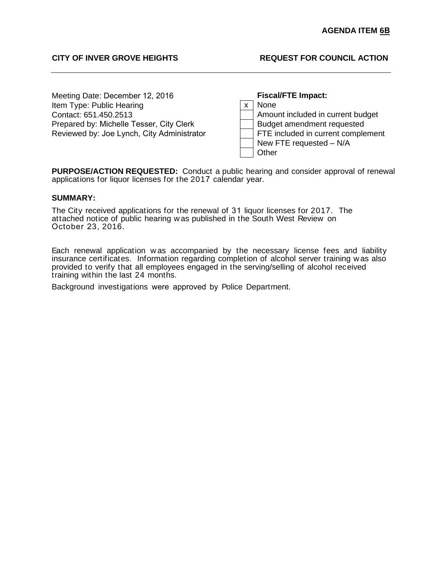# **CITY OF INVER GROVE HEIGHTS REQUEST FOR COUNCIL ACTION**

Meeting Date: December 12, 2016 Item Type: Public Hearing Contact: 651.450.2513 Prepared by: Michelle Tesser, City Clerk Reviewed by: Joe Lynch, City Administrator FTE included in current complement

**Fiscal/FTE Impact:** x | None Amount included in current budget Budget amendment requested New FTE requested – N/A **Other** 

**PURPOSE/ACTION REQUESTED:** Conduct a public hearing and consider approval of renewal applications for liquor licenses for the 2017 calendar year.

# **SUMMARY:**

The City received applications for the renewal of 31 liquor licenses for 2017. The attached notice of public hearing w as published in the South West Review on October 23, 2016.

Each renewal application w as accompanied by the necessary license fees and liability insurance certificates. Information regarding completion of alcohol server training w as also provided to verify that all employees engaged in the serving/selling of alcohol received training within the last 24 months.

Background investigations were approved by Police Department.